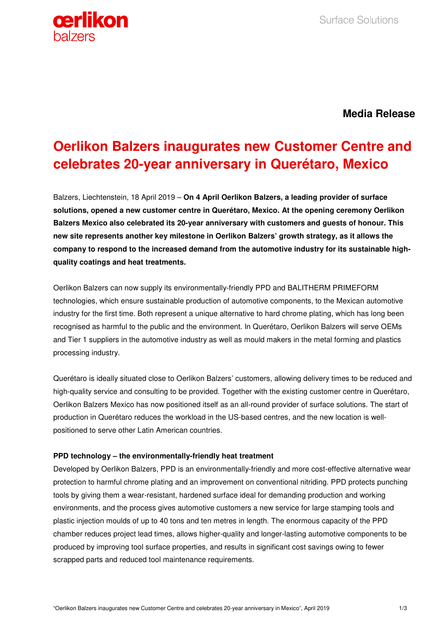

**Media Release**

# **Oerlikon Balzers inaugurates new Customer Centre and celebrates 20-year anniversary in Querétaro, Mexico**

Balzers, Liechtenstein, 18 April 2019 – **On 4 April Oerlikon Balzers, a leading provider of surface solutions, opened a new customer centre in Querétaro, Mexico. At the opening ceremony Oerlikon Balzers Mexico also celebrated its 20-year anniversary with customers and guests of honour. This new site represents another key milestone in Oerlikon Balzers' growth strategy, as it allows the company to respond to the increased demand from the automotive industry for its sustainable highquality coatings and heat treatments.** 

Oerlikon Balzers can now supply its environmentally-friendly PPD and BALITHERM PRIMEFORM technologies, which ensure sustainable production of automotive components, to the Mexican automotive industry for the first time. Both represent a unique alternative to hard chrome plating, which has long been recognised as harmful to the public and the environment. In Querétaro, Oerlikon Balzers will serve OEMs and Tier 1 suppliers in the automotive industry as well as mould makers in the metal forming and plastics processing industry.

Querétaro is ideally situated close to Oerlikon Balzers' customers, allowing delivery times to be reduced and high-quality service and consulting to be provided. Together with the existing customer centre in Querétaro, Oerlikon Balzers Mexico has now positioned itself as an all-round provider of surface solutions. The start of production in Querétaro reduces the workload in the US-based centres, and the new location is wellpositioned to serve other Latin American countries.

# **PPD technology – the environmentally-friendly heat treatment**

Developed by Oerlikon Balzers, PPD is an environmentally-friendly and more cost-effective alternative wear protection to harmful chrome plating and an improvement on conventional nitriding. PPD protects punching tools by giving them a wear-resistant, hardened surface ideal for demanding production and working environments, and the process gives automotive customers a new service for large stamping tools and plastic injection moulds of up to 40 tons and ten metres in length. The enormous capacity of the PPD chamber reduces project lead times, allows higher-quality and longer-lasting automotive components to be produced by improving tool surface properties, and results in significant cost savings owing to fewer scrapped parts and reduced tool maintenance requirements.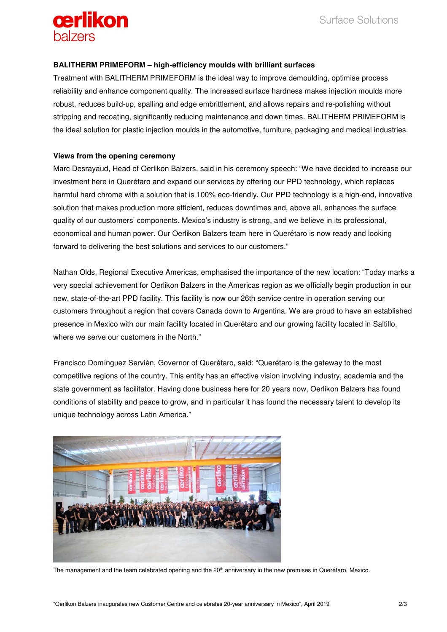

#### **BALITHERM PRIMEFORM – high-efficiency moulds with brilliant surfaces**

Treatment with BALITHERM PRIMEFORM is the ideal way to improve demoulding, optimise process reliability and enhance component quality. The increased surface hardness makes injection moulds more robust, reduces build-up, spalling and edge embrittlement, and allows repairs and re-polishing without stripping and recoating, significantly reducing maintenance and down times. BALITHERM PRIMEFORM is the ideal solution for plastic injection moulds in the automotive, furniture, packaging and medical industries.

#### **Views from the opening ceremony**

Marc Desrayaud, Head of Oerlikon Balzers, said in his ceremony speech: "We have decided to increase our investment here in Querétaro and expand our services by offering our PPD technology, which replaces harmful hard chrome with a solution that is 100% eco-friendly. Our PPD technology is a high-end, innovative solution that makes production more efficient, reduces downtimes and, above all, enhances the surface quality of our customers' components. Mexico's industry is strong, and we believe in its professional, economical and human power. Our Oerlikon Balzers team here in Querétaro is now ready and looking forward to delivering the best solutions and services to our customers."

Nathan Olds, Regional Executive Americas, emphasised the importance of the new location: "Today marks a very special achievement for Oerlikon Balzers in the Americas region as we officially begin production in our new, state-of-the-art PPD facility. This facility is now our 26th service centre in operation serving our customers throughout a region that covers Canada down to Argentina. We are proud to have an established presence in Mexico with our main facility located in Querétaro and our growing facility located in Saltillo, where we serve our customers in the North."

Francisco Domínguez Servién, Governor of Querétaro, said: "Querétaro is the gateway to the most competitive regions of the country. This entity has an effective vision involving industry, academia and the state government as facilitator. Having done business here for 20 years now, Oerlikon Balzers has found conditions of stability and peace to grow, and in particular it has found the necessary talent to develop its unique technology across Latin America."



The management and the team celebrated opening and the 20<sup>th</sup> anniversary in the new premises in Querétaro, Mexico.